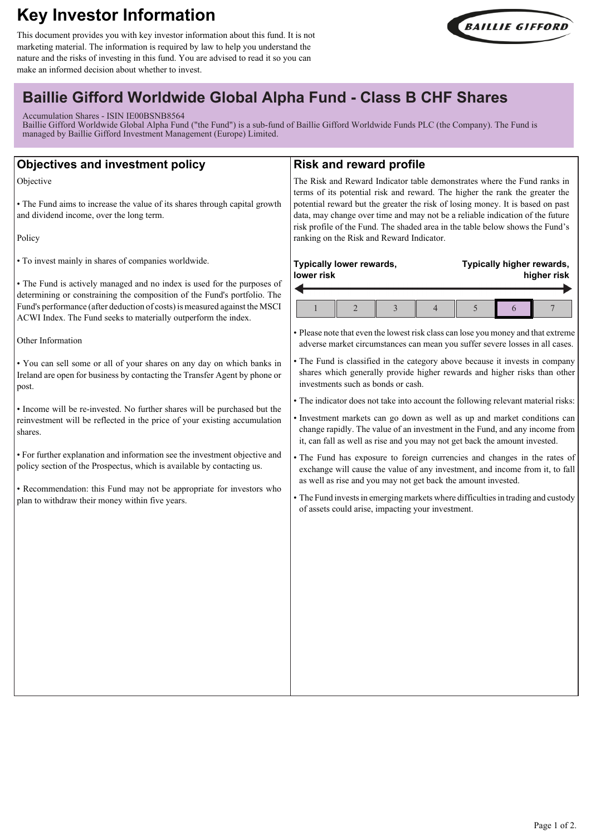# **Key Investor Information**

This document provides you with key investor information about this fund. It is not marketing material. The information is required by law to help you understand the nature and the risks of investing in this fund. You are advised to read it so you can make an informed decision about whether to invest.



## **Baillie Gifford Worldwide Global Alpha Fund - Class B CHF Shares**

Accumulation Shares - ISIN IE00BSNB8564

Baillie Gifford Worldwide Global Alpha Fund ("the Fund") is a sub-fund of Baillie Gifford Worldwide Funds PLC (the Company). The Fund is managed by Baillie Gifford Investment Management (Europe) Limited.

| <b>Objectives and investment policy</b>                                                                                                                                                                                                                                                             | <b>Risk and reward profile</b>                                                                                                                                                                                                                                                                                             |
|-----------------------------------------------------------------------------------------------------------------------------------------------------------------------------------------------------------------------------------------------------------------------------------------------------|----------------------------------------------------------------------------------------------------------------------------------------------------------------------------------------------------------------------------------------------------------------------------------------------------------------------------|
| Objective<br>• The Fund aims to increase the value of its shares through capital growth<br>and dividend income, over the long term.                                                                                                                                                                 | The Risk and Reward Indicator table demonstrates where the Fund ranks in<br>terms of its potential risk and reward. The higher the rank the greater the<br>potential reward but the greater the risk of losing money. It is based on past<br>data, may change over time and may not be a reliable indication of the future |
| Policy                                                                                                                                                                                                                                                                                              | risk profile of the Fund. The shaded area in the table below shows the Fund's<br>ranking on the Risk and Reward Indicator.                                                                                                                                                                                                 |
| • To invest mainly in shares of companies worldwide.                                                                                                                                                                                                                                                | Typically lower rewards,<br>Typically higher rewards,<br>lower risk<br>higher risk                                                                                                                                                                                                                                         |
| • The Fund is actively managed and no index is used for the purposes of<br>determining or constraining the composition of the Fund's portfolio. The<br>Fund's performance (after deduction of costs) is measured against the MSCI<br>ACWI Index. The Fund seeks to materially outperform the index. | $\boldsymbol{7}$<br>$\overline{2}$<br>$\overline{3}$<br>5<br>$\overline{4}$<br>1<br>6                                                                                                                                                                                                                                      |
| Other Information                                                                                                                                                                                                                                                                                   | • Please note that even the lowest risk class can lose you money and that extreme<br>adverse market circumstances can mean you suffer severe losses in all cases.                                                                                                                                                          |
| . You can sell some or all of your shares on any day on which banks in<br>Ireland are open for business by contacting the Transfer Agent by phone or<br>post.                                                                                                                                       | • The Fund is classified in the category above because it invests in company<br>shares which generally provide higher rewards and higher risks than other<br>investments such as bonds or cash.                                                                                                                            |
| • Income will be re-invested. No further shares will be purchased but the<br>reinvestment will be reflected in the price of your existing accumulation<br>shares.                                                                                                                                   | • The indicator does not take into account the following relevant material risks:<br>· Investment markets can go down as well as up and market conditions can<br>change rapidly. The value of an investment in the Fund, and any income from<br>it, can fall as well as rise and you may not get back the amount invested. |
| • For further explanation and information see the investment objective and<br>policy section of the Prospectus, which is available by contacting us.                                                                                                                                                | • The Fund has exposure to foreign currencies and changes in the rates of<br>exchange will cause the value of any investment, and income from it, to fall                                                                                                                                                                  |
| • Recommendation: this Fund may not be appropriate for investors who<br>plan to withdraw their money within five years.                                                                                                                                                                             | as well as rise and you may not get back the amount invested.<br>• The Fund invests in emerging markets where difficulties in trading and custody<br>of assets could arise, impacting your investment.                                                                                                                     |
|                                                                                                                                                                                                                                                                                                     |                                                                                                                                                                                                                                                                                                                            |
|                                                                                                                                                                                                                                                                                                     |                                                                                                                                                                                                                                                                                                                            |
|                                                                                                                                                                                                                                                                                                     |                                                                                                                                                                                                                                                                                                                            |
|                                                                                                                                                                                                                                                                                                     |                                                                                                                                                                                                                                                                                                                            |
|                                                                                                                                                                                                                                                                                                     |                                                                                                                                                                                                                                                                                                                            |
|                                                                                                                                                                                                                                                                                                     |                                                                                                                                                                                                                                                                                                                            |
|                                                                                                                                                                                                                                                                                                     |                                                                                                                                                                                                                                                                                                                            |